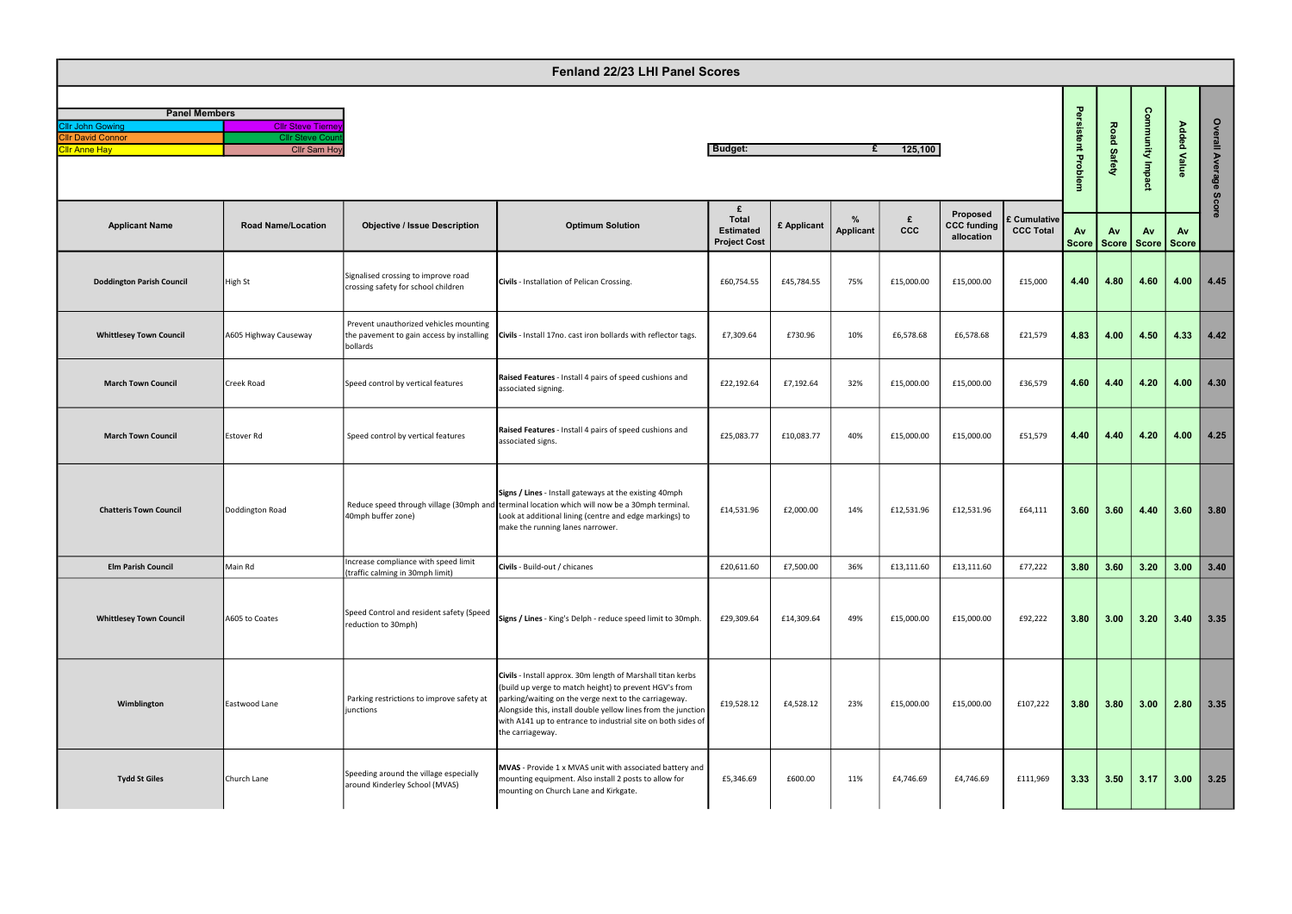| <b>Panel Members</b>     |                           |  |  |  |  |  |  |  |  |  |
|--------------------------|---------------------------|--|--|--|--|--|--|--|--|--|
| Cllr John Gowing         | <b>Cllr Steve Tierney</b> |  |  |  |  |  |  |  |  |  |
| <b>Cllr David Connor</b> | <b>Cllr Steve Count</b>   |  |  |  |  |  |  |  |  |  |
| <b>Cllr Anne Hav</b>     | <b>Cllr Sam Hoy</b>       |  |  |  |  |  |  |  |  |  |

| Fenland 22/23 LHI Panel Scores                   |                                              |                                                                                                 |                                                                                                                                                                                                                                                                                                                                     |                                       |             |                |            |                                              |                                  |                      |               |                         |                    |                                                   |
|--------------------------------------------------|----------------------------------------------|-------------------------------------------------------------------------------------------------|-------------------------------------------------------------------------------------------------------------------------------------------------------------------------------------------------------------------------------------------------------------------------------------------------------------------------------------|---------------------------------------|-------------|----------------|------------|----------------------------------------------|----------------------------------|----------------------|---------------|-------------------------|--------------------|---------------------------------------------------|
| <b>Panel Members</b><br><b>Cllr John Gowing</b>  | <b>Cllr Steve Tierne</b>                     |                                                                                                 |                                                                                                                                                                                                                                                                                                                                     |                                       |             |                |            |                                              |                                  | Persistent Problem   |               |                         |                    |                                                   |
| <b>Cllr David Connor</b><br><b>Cllr Anne Hay</b> | <b>Cllr Steve Cou</b><br><b>Cllr Sam Hoy</b> |                                                                                                 | <b>Budget:</b><br>125,100<br>£                                                                                                                                                                                                                                                                                                      |                                       |             |                |            |                                              |                                  |                      | Road Safety   | <b>Community Impact</b> | <b>Added Value</b> | Overall Average                                   |
| <b>Applicant Name</b>                            | <b>Road Name/Location</b>                    | <b>Objective / Issue Description</b>                                                            | <b>Optimum Solution</b>                                                                                                                                                                                                                                                                                                             | £<br><b>Total</b><br><b>Estimated</b> | £ Applicant | %<br>Applicant | £<br>ccc   | Proposed<br><b>CCC funding</b><br>allocation | £ Cumulative<br><b>CCC Total</b> | <b>Av</b>            | Av            | Av                      | Av                 | Score                                             |
| <b>Doddington Parish Council</b>                 | High St                                      | Signalised crossing to improve road<br>crossing safety for school children                      | Civils - Installation of Pelican Crossing.                                                                                                                                                                                                                                                                                          | <b>Project Cost</b><br>£60,754.55     | £45,784.55  | 75%            | £15,000.00 | £15,000.00                                   | £15,000                          | <b>Score</b><br>4.40 | Score<br>4.80 | Score<br>4.60           | Score<br>4.00      | 4.45                                              |
| <b>Whittlesey Town Council</b>                   | A605 Highway Causeway                        | Prevent unauthorized vehicles mounting<br>the pavement to gain access by installing<br>bollards | Civils - Install 17no. cast iron bollards with reflector tags.                                                                                                                                                                                                                                                                      | £7,309.64                             | £730.96     | 10%            | £6,578.68  | £6,578.68                                    | £21,579                          | 4.83                 | 4.00          | 4.50                    | 4.33               | 4.42                                              |
| <b>March Town Council</b>                        | Creek Road                                   | Speed control by vertical features                                                              | Raised Features - Install 4 pairs of speed cushions and<br>associated signing.                                                                                                                                                                                                                                                      | £22,192.64                            | £7,192.64   | 32%            | £15,000.00 | £15,000.00                                   | £36,579                          | 4.60                 | 4.40          | 4.20                    | 4.00               | 4.30                                              |
| <b>March Town Council</b>                        | Estover Rd                                   | Speed control by vertical features                                                              | Raised Features - Install 4 pairs of speed cushions and<br>associated signs.                                                                                                                                                                                                                                                        | £25,083.77                            | £10,083.77  | 40%            | £15,000.00 | £15,000.00                                   | £51,579                          | 4.40                 | 4.40          | 4.20                    | 4.00               | 4.25                                              |
| <b>Chatteris Town Council</b>                    | Doddington Road                              | 40mph buffer zone)                                                                              | Signs / Lines - Install gateways at the existing 40mph<br>Reduce speed through village (30mph and terminal location which will now be a 30mph terminal.<br>Look at additional lining (centre and edge markings) to<br>make the running lanes narrower.                                                                              | £14,531.96                            | £2,000.00   | 14%            | £12,531.96 | £12,531.96                                   | £64,111                          | 3.60                 | 3.60          | 4.40                    | 3.60               | 3.80                                              |
| <b>Elm Parish Council</b>                        | Main Rd                                      | Increase compliance with speed limit<br>(traffic calming in 30mph limit)                        | Civils - Build-out / chicanes                                                                                                                                                                                                                                                                                                       | £20,611.60                            | £7,500.00   | 36%            | £13,111.60 | £13,111.60                                   | £77,222                          | 3.80                 | 3.60          | 3.20                    | 3.00               | 3.40                                              |
| <b>Whittlesey Town Council</b>                   | A605 to Coates                               | Speed Control and resident safety (Speed<br>reduction to 30mph)                                 | Signs / Lines - King's Delph - reduce speed limit to 30mph.                                                                                                                                                                                                                                                                         | £29,309.64                            | £14,309.64  | 49%            | £15,000.00 | £15,000.00                                   | £92,222                          | 3.80                 | 3.00          | 3.20                    | 3.40               | 3.35                                              |
| Wimblington                                      | Eastwood Lane                                | Parking restrictions to improve safety at<br>junctions                                          | Civils - Install approx. 30m length of Marshall titan kerbs<br>(build up verge to match height) to prevent HGV's from<br>parking/waiting on the verge next to the carriageway.<br>Alongside this, install double yellow lines from the junction<br>with A141 up to entrance to industrial site on both sides of<br>the carriageway. | £19,528.12                            | £4,528.12   | 23%            | £15,000.00 | £15,000.00                                   | £107,222                         | 3.80                 | 3.80          | 3.00                    | 2.80               | 3.35                                              |
| <b>Tydd St Giles</b>                             | Church Lane                                  | Speeding around the village especially<br>around Kinderley School (MVAS)                        | MVAS - Provide 1 x MVAS unit with associated battery and<br>mounting equipment. Also install 2 posts to allow for<br>mounting on Church Lane and Kirkgate.                                                                                                                                                                          | £5,346.69                             | £600.00     | 11%            | £4,746.69  | £4,746.69                                    | £111,969                         | 3.33                 | 3.50          | 3.17                    | 3.00               | $\begin{array}{ c c }\n\hline\n3.25\n\end{array}$ |